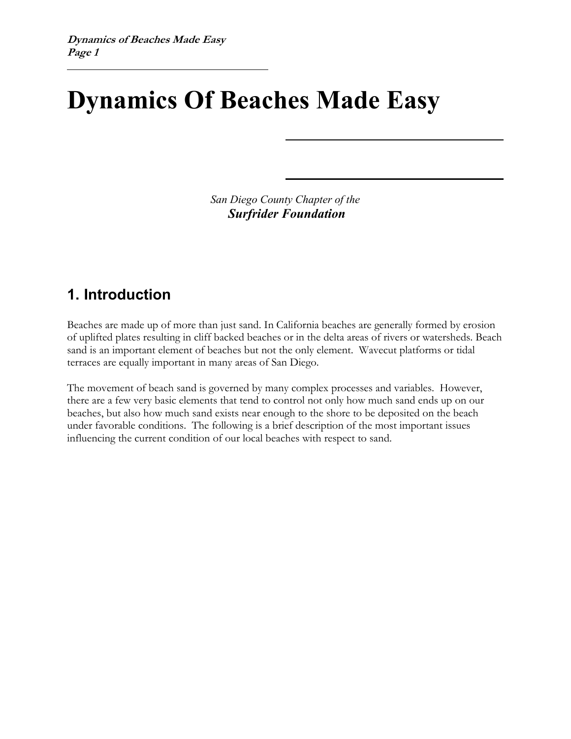# **Dynamics Of Beaches Made Easy**

*San Diego County Chapter of the Surfrider Foundation* 

### **1. Introduction**

Beaches are made up of more than just sand. In California beaches are generally formed by erosion of uplifted plates resulting in cliff backed beaches or in the delta areas of rivers or watersheds. Beach sand is an important element of beaches but not the only element. Wavecut platforms or tidal terraces are equally important in many areas of San Diego.

The movement of beach sand is governed by many complex processes and variables. However, there are a few very basic elements that tend to control not only how much sand ends up on our beaches, but also how much sand exists near enough to the shore to be deposited on the beach under favorable conditions. The following is a brief description of the most important issues influencing the current condition of our local beaches with respect to sand.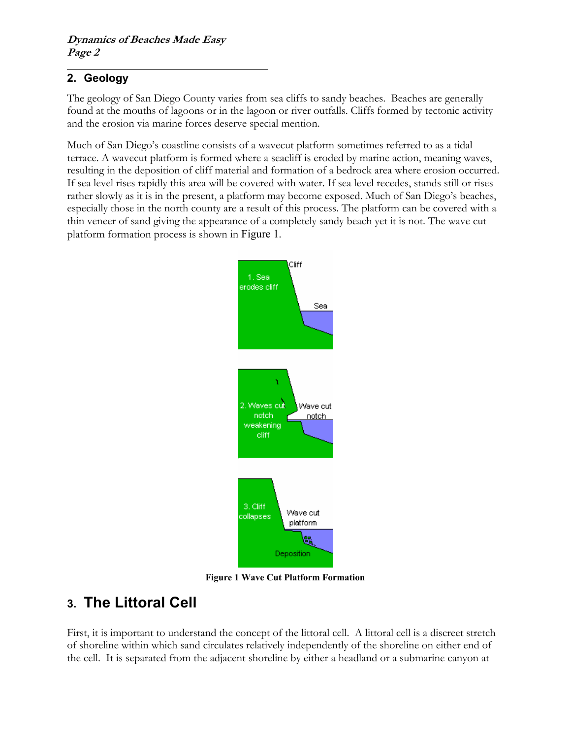#### **2. Geology**

The geology of San Diego County varies from sea cliffs to sandy beaches. Beaches are generally found at the mouths of lagoons or in the lagoon or river outfalls. Cliffs formed by tectonic activity and the erosion via marine forces deserve special mention.

Much of San Diego's coastline consists of a wavecut platform sometimes referred to as a tidal terrace. A wavecut platform is formed where a seacliff is eroded by marine action, meaning waves, resulting in the deposition of cliff material and formation of a bedrock area where erosion occurred. If sea level rises rapidly this area will be covered with water. If sea level recedes, stands still or rises rather slowly as it is in the present, a platform may become exposed. Much of San Diego's beaches, especially those in the north county are a result of this process. The platform can be covered with a thin veneer of sand giving the appearance of a completely sandy beach yet it is not. The wave cut platform formation process is shown in [Figure 1](#page-1-0).

<span id="page-1-0"></span>

**Figure 1 Wave Cut Platform Formation**

## **3. The Littoral Cell**

First, it is important to understand the concept of the littoral cell. A littoral cell is a discreet stretch of shoreline within which sand circulates relatively independently of the shoreline on either end of the cell. It is separated from the adjacent shoreline by either a headland or a submarine canyon at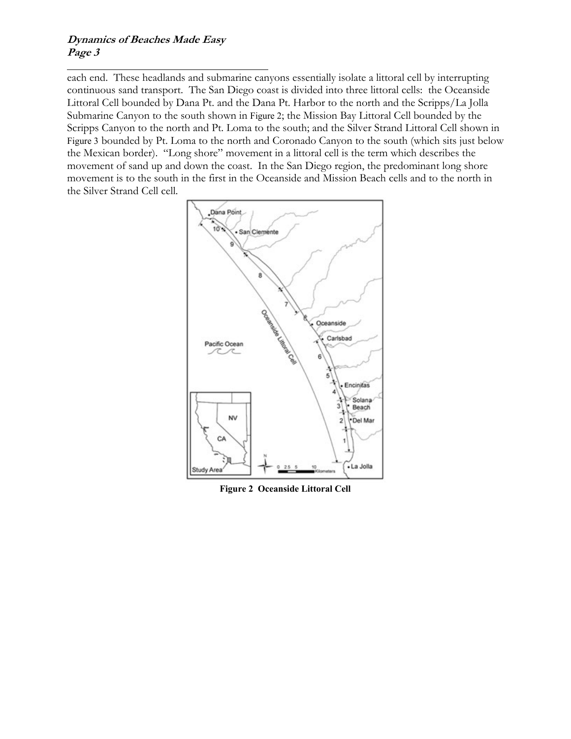#### **Dynamics of Beaches Made Easy Page 3**

each end. These headlands and submarine canyons essentially isolate a littoral cell by interrupting continuous sand transport. The San Diego coast is divided into three littoral cells: the Oceanside Littoral Cell bounded by Dana Pt. and the Dana Pt. Harbor to the north and the Scripps/La Jolla Submarine Canyon to the south shown in [Figure 2](#page-2-0); the Mission Bay Littoral Cell bounded by the Scripps Canyon to the north and Pt. Loma to the south; and the Silver Strand Littoral Cell shown in [Figure 3](#page-3-0) bounded by Pt. Loma to the north and Coronado Canyon to the south (which sits just below the Mexican border). "Long shore" movement in a littoral cell is the term which describes the movement of sand up and down the coast. In the San Diego region, the predominant long shore movement is to the south in the first in the Oceanside and Mission Beach cells and to the north in the Silver Strand Cell cell.

<span id="page-2-0"></span>

**Figure 2 Oceanside Littoral Cell**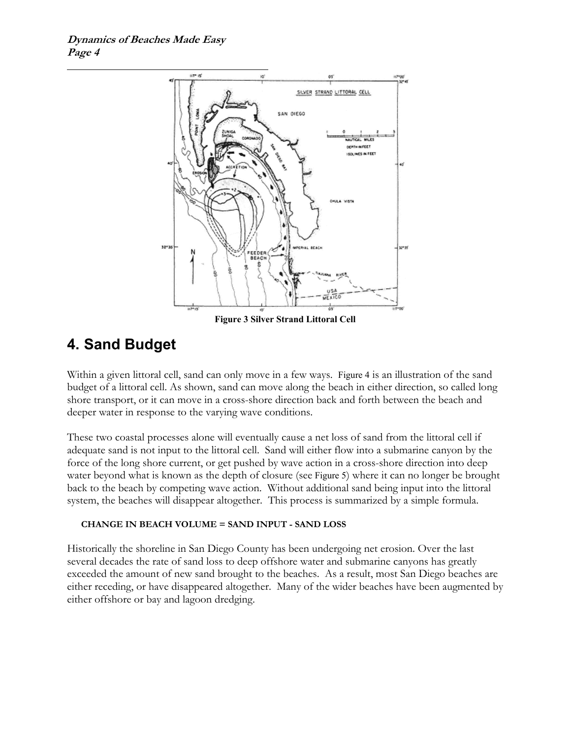<span id="page-3-0"></span>

**Figure 3 Silver Strand Littoral Cell**

## **4. Sand Budget**

Within a given littoral cell, sand can only move in a few ways. [Figure 4](#page-4-0) is an illustration of the sand budget of a littoral cell. As shown, sand can move along the beach in either direction, so called long shore transport, or it can move in a cross-shore direction back and forth between the beach and deeper water in response to the varying wave conditions.

These two coastal processes alone will eventually cause a net loss of sand from the littoral cell if adequate sand is not input to the littoral cell. Sand will either flow into a submarine canyon by the force of the long shore current, or get pushed by wave action in a cross-shore direction into deep water beyond what is known as the depth of closure (see [Figure 5](#page-5-0)) where it can no longer be brought back to the beach by competing wave action. Without additional sand being input into the littoral system, the beaches will disappear altogether. This process is summarized by a simple formula.

#### **CHANGE IN BEACH VOLUME = SAND INPUT - SAND LOSS**

Historically the shoreline in San Diego County has been undergoing net erosion. Over the last several decades the rate of sand loss to deep offshore water and submarine canyons has greatly exceeded the amount of new sand brought to the beaches. As a result, most San Diego beaches are either receding, or have disappeared altogether. Many of the wider beaches have been augmented by either offshore or bay and lagoon dredging.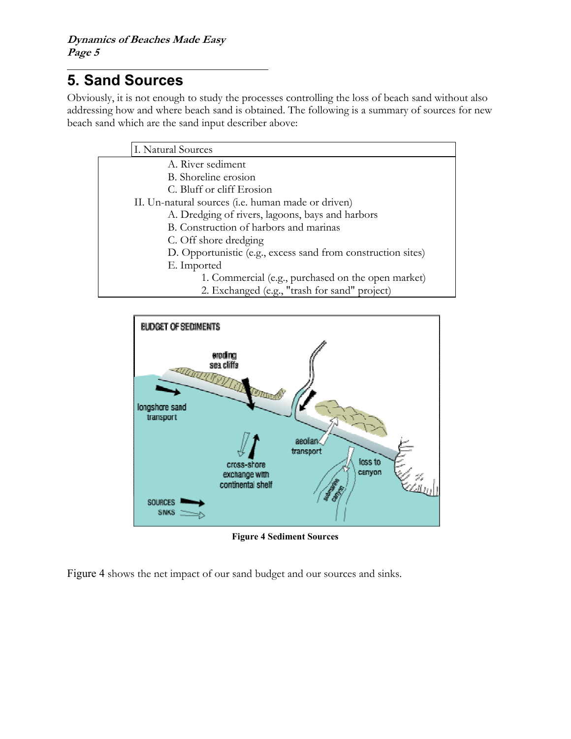### **5. Sand Sources**

Obviously, it is not enough to study the processes controlling the loss of beach sand without also addressing how and where beach sand is obtained. The following is a summary of sources for new beach sand which are the sand input describer above:



<span id="page-4-0"></span>

**Figure 4 Sediment Sources** 

[Figure 4](#page-4-0) shows the net impact of our sand budget and our sources and sinks.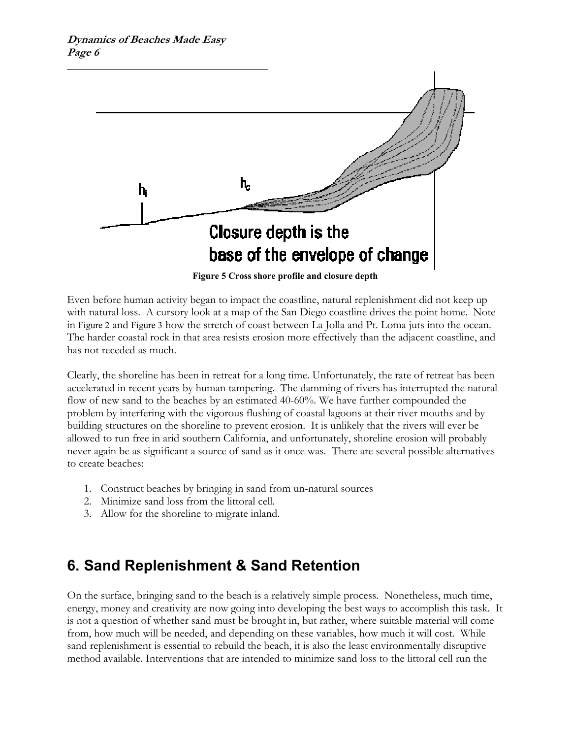<span id="page-5-0"></span>

**Figure 5 Cross shore profile and closure depth**

Even before human activity began to impact the coastline, natural replenishment did not keep up with natural loss. A cursory look at a map of the San Diego coastline drives the point home. Note in [Figure 2](#page-2-0) and [Figure 3](#page-3-0) how the stretch of coast between La Jolla and Pt. Loma juts into the ocean. The harder coastal rock in that area resists erosion more effectively than the adjacent coastline, and has not receded as much.

Clearly, the shoreline has been in retreat for a long time. Unfortunately, the rate of retreat has been accelerated in recent years by human tampering. The damming of rivers has interrupted the natural flow of new sand to the beaches by an estimated 40-60%. We have further compounded the problem by interfering with the vigorous flushing of coastal lagoons at their river mouths and by building structures on the shoreline to prevent erosion. It is unlikely that the rivers will ever be allowed to run free in arid southern California, and unfortunately, shoreline erosion will probably never again be as significant a source of sand as it once was. There are several possible alternatives to create beaches:

- 1. Construct beaches by bringing in sand from un-natural sources
- 2. Minimize sand loss from the littoral cell.
- 3. Allow for the shoreline to migrate inland.

## **6. Sand Replenishment & Sand Retention**

On the surface, bringing sand to the beach is a relatively simple process. Nonetheless, much time, energy, money and creativity are now going into developing the best ways to accomplish this task. It is not a question of whether sand must be brought in, but rather, where suitable material will come from, how much will be needed, and depending on these variables, how much it will cost. While sand replenishment is essential to rebuild the beach, it is also the least environmentally disruptive method available. Interventions that are intended to minimize sand loss to the littoral cell run the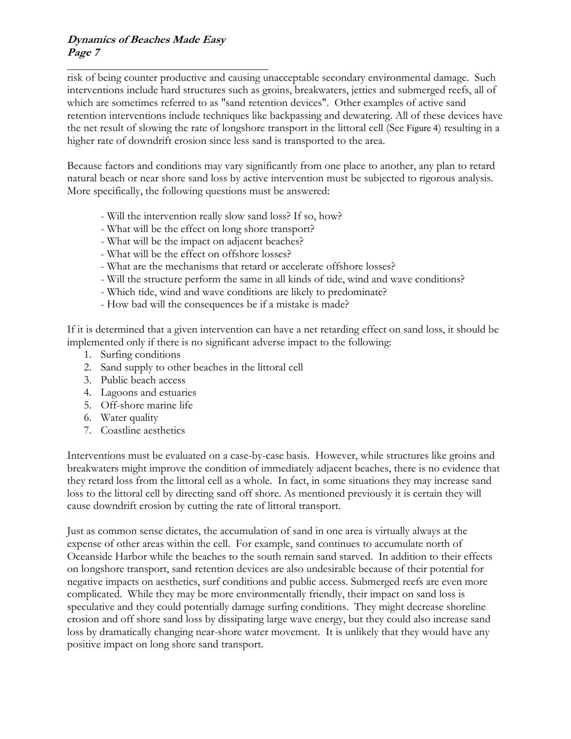#### **Dynamics of Beaches Made Easy Page 7**

risk of being counter productive and causing unacceptable secondary environmental damage. Such interventions include hard structures such as groins, breakwaters, jetties and submerged reefs, all of which are sometimes referred to as "sand retention devices". Other examples of active sand retention interventions include techniques like backpassing and dewatering. All of these devices have the net result of slowing the rate of longshore transport in the littoral cell (See [Figure 4](#page-4-0)) resulting in a higher rate of downdrift erosion since less sand is transported to the area.

Because factors and conditions may vary significantly from one place to another, any plan to retard natural beach or near shore sand loss by active intervention must be subjected to rigorous analysis. More specifically, the following questions must be answered:

- Will the intervention really slow sand loss? If so, how?
- What will be the effect on long shore transport?
- What will be the impact on adjacent beaches?
- What will be the effect on offshore losses?
- What are the mechanisms that retard or accelerate offshore losses?
- Will the structure perform the same in all kinds of tide, wind and wave conditions?
- Which tide, wind and wave conditions are likely to predominate?
- How bad will the consequences be if a mistake is made?

If it is determined that a given intervention can have a net retarding effect on sand loss, it should be implemented only if there is no significant adverse impact to the following:

- 1. Surfing conditions
- 2. Sand supply to other beaches in the littoral cell
- 3. Public beach access
- 4. Lagoons and estuaries
- 5. Off-shore marine life
- 6. Water quality
- 7. Coastline aesthetics

Interventions must be evaluated on a case-by-case basis. However, while structures like groins and breakwaters might improve the condition of immediately adjacent beaches, there is no evidence that they retard loss from the littoral cell as a whole. In fact, in some situations they may increase sand loss to the littoral cell by directing sand off shore. As mentioned previously it is certain they will cause downdrift erosion by cutting the rate of littoral transport.

Just as common sense dictates, the accumulation of sand in one area is virtually always at the expense of other areas within the cell. For example, sand continues to accumulate north of Oceanside Harbor while the beaches to the south remain sand starved. In addition to their effects on longshore transport, sand retention devices are also undesirable because of their potential for negative impacts on aesthetics, surf conditions and public access. Submerged reefs are even more complicated. While they may be more environmentally friendly, their impact on sand loss is speculative and they could potentially damage surfing conditions. They might decrease shoreline erosion and off shore sand loss by dissipating large wave energy, but they could also increase sand loss by dramatically changing near-shore water movement. It is unlikely that they would have any positive impact on long shore sand transport.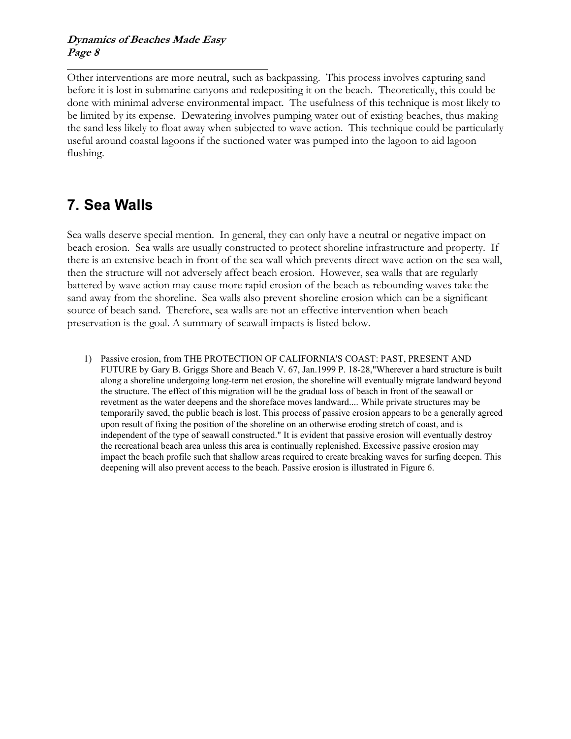#### **Dynamics of Beaches Made Easy Page 8**

Other interventions are more neutral, such as backpassing. This process involves capturing sand before it is lost in submarine canyons and redepositing it on the beach. Theoretically, this could be done with minimal adverse environmental impact. The usefulness of this technique is most likely to be limited by its expense. Dewatering involves pumping water out of existing beaches, thus making the sand less likely to float away when subjected to wave action. This technique could be particularly useful around coastal lagoons if the suctioned water was pumped into the lagoon to aid lagoon flushing.

## **7. Sea Walls**

Sea walls deserve special mention. In general, they can only have a neutral or negative impact on beach erosion. Sea walls are usually constructed to protect shoreline infrastructure and property. If there is an extensive beach in front of the sea wall which prevents direct wave action on the sea wall, then the structure will not adversely affect beach erosion. However, sea walls that are regularly battered by wave action may cause more rapid erosion of the beach as rebounding waves take the sand away from the shoreline. Sea walls also prevent shoreline erosion which can be a significant source of beach sand. Therefore, sea walls are not an effective intervention when beach preservation is the goal. A summary of seawall impacts is listed below.

1) Passive erosion, from THE PROTECTION OF CALIFORNIA'S COAST: PAST, PRESENT AND FUTURE by Gary B. Griggs Shore and Beach V. 67, Jan.1999 P. 18-28,"Wherever a hard structure is built along a shoreline undergoing long-term net erosion, the shoreline will eventually migrate landward beyond the structure. The effect of this migration will be the gradual loss of beach in front of the seawall or revetment as the water deepens and the shoreface moves landward.... While private structures may be temporarily saved, the public beach is lost. This process of passive erosion appears to be a generally agreed upon result of fixing the position of the shoreline on an otherwise eroding stretch of coast, and is independent of the type of seawall constructed." It is evident that passive erosion will eventually destroy the recreational beach area unless this area is continually replenished. Excessive passive erosion may impact the beach profile such that shallow areas required to create breaking waves for surfing deepen. This deepening will also prevent access to the beach. Passive erosion is illustrated in [Figure 6.](#page-8-0)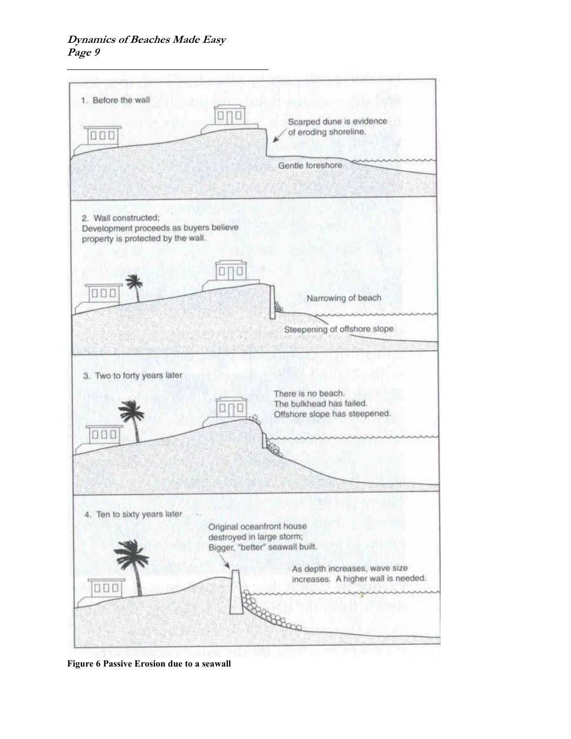<span id="page-8-0"></span>

**Figure 6 Passive Erosion due to a seawall**